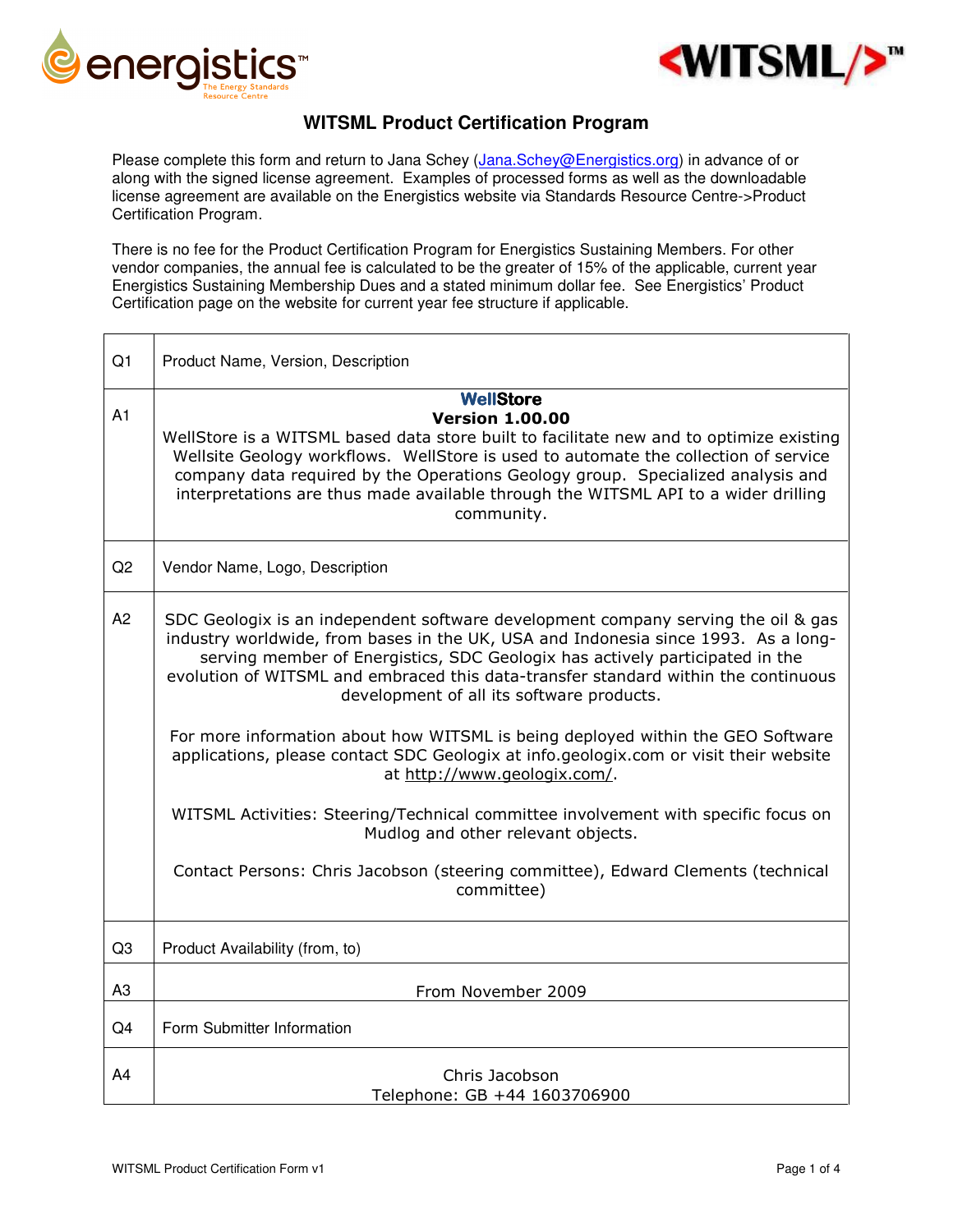



## **WITSML Product Certification Program**

Please complete this form and return to Jana Schey (Jana.Schey@Energistics.org) in advance of or along with the signed license agreement. Examples of processed forms as well as the downloadable license agreement are available on the Energistics website via Standards Resource Centre->Product Certification Program.

There is no fee for the Product Certification Program for Energistics Sustaining Members. For other vendor companies, the annual fee is calculated to be the greater of 15% of the applicable, current year Energistics Sustaining Membership Dues and a stated minimum dollar fee. See Energistics' Product Certification page on the website for current year fee structure if applicable.

| Q <sub>1</sub> | Product Name, Version, Description                                                                                                                                                                                                                                                                                                                                                                                                                                                                                                                                                                                                                                                                                                                                                                                                   |
|----------------|--------------------------------------------------------------------------------------------------------------------------------------------------------------------------------------------------------------------------------------------------------------------------------------------------------------------------------------------------------------------------------------------------------------------------------------------------------------------------------------------------------------------------------------------------------------------------------------------------------------------------------------------------------------------------------------------------------------------------------------------------------------------------------------------------------------------------------------|
| A1             | <b>WellStore</b><br><b>Version 1.00.00</b><br>WellStore is a WITSML based data store built to facilitate new and to optimize existing<br>Wellsite Geology workflows. WellStore is used to automate the collection of service<br>company data required by the Operations Geology group. Specialized analysis and<br>interpretations are thus made available through the WITSML API to a wider drilling<br>community.                                                                                                                                                                                                                                                                                                                                                                                                                  |
| Q2             | Vendor Name, Logo, Description                                                                                                                                                                                                                                                                                                                                                                                                                                                                                                                                                                                                                                                                                                                                                                                                       |
| A2             | SDC Geologix is an independent software development company serving the oil & gas<br>industry worldwide, from bases in the UK, USA and Indonesia since 1993. As a long-<br>serving member of Energistics, SDC Geologix has actively participated in the<br>evolution of WITSML and embraced this data-transfer standard within the continuous<br>development of all its software products.<br>For more information about how WITSML is being deployed within the GEO Software<br>applications, please contact SDC Geologix at info.geologix.com or visit their website<br>at http://www.geologix.com/.<br>WITSML Activities: Steering/Technical committee involvement with specific focus on<br>Mudlog and other relevant objects.<br>Contact Persons: Chris Jacobson (steering committee), Edward Clements (technical<br>committee) |
| Q <sub>3</sub> | Product Availability (from, to)                                                                                                                                                                                                                                                                                                                                                                                                                                                                                                                                                                                                                                                                                                                                                                                                      |
| A <sub>3</sub> | From November 2009                                                                                                                                                                                                                                                                                                                                                                                                                                                                                                                                                                                                                                                                                                                                                                                                                   |
| Q <sub>4</sub> | Form Submitter Information                                                                                                                                                                                                                                                                                                                                                                                                                                                                                                                                                                                                                                                                                                                                                                                                           |
| A4             | Chris Jacobson<br>Telephone: GB +44 1603706900                                                                                                                                                                                                                                                                                                                                                                                                                                                                                                                                                                                                                                                                                                                                                                                       |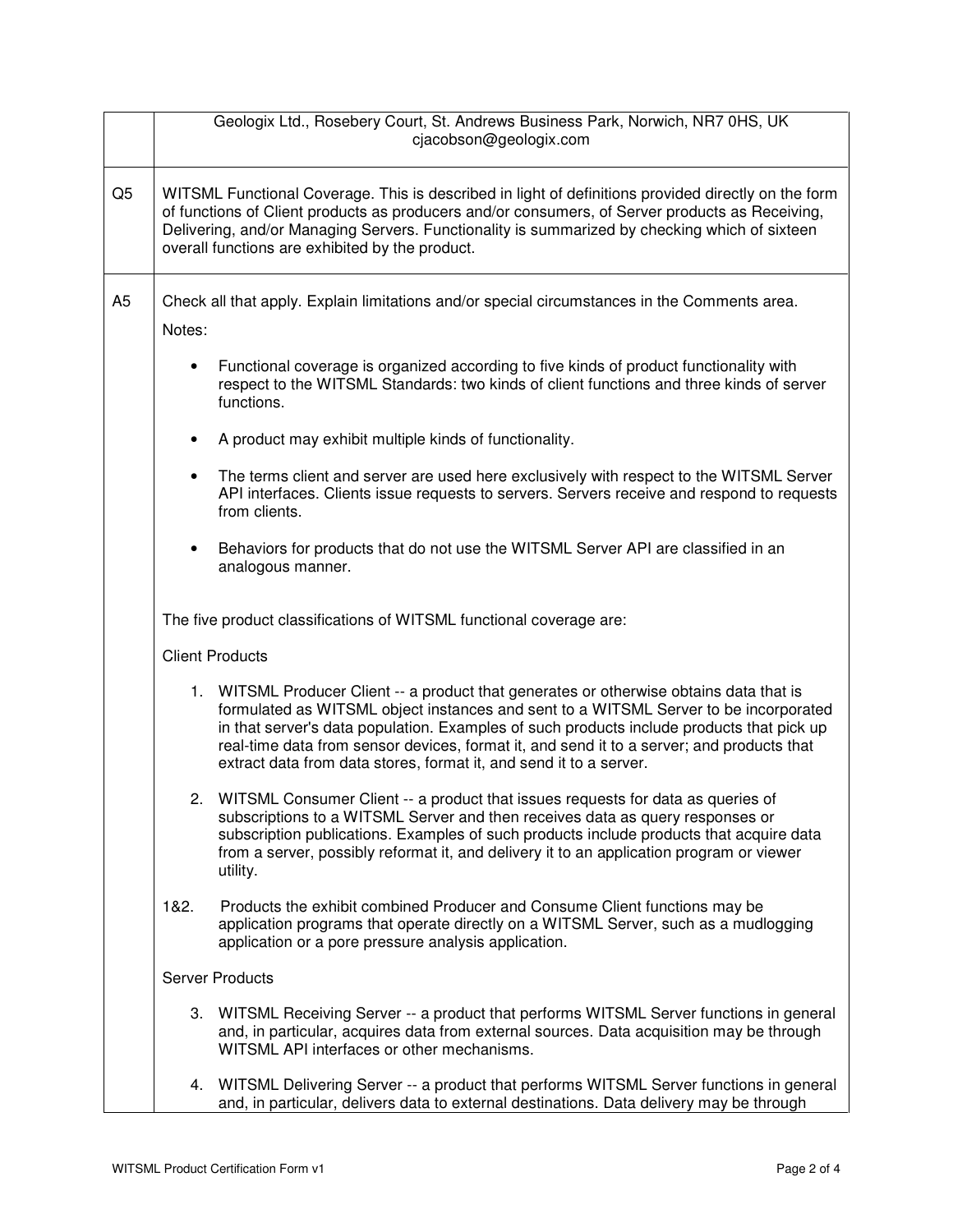|                |                        | Geologix Ltd., Rosebery Court, St. Andrews Business Park, Norwich, NR7 0HS, UK<br>cjacobson@geologix.com                                                                                                                                                                                                                                                                                                                                        |  |
|----------------|------------------------|-------------------------------------------------------------------------------------------------------------------------------------------------------------------------------------------------------------------------------------------------------------------------------------------------------------------------------------------------------------------------------------------------------------------------------------------------|--|
| Q <sub>5</sub> |                        | WITSML Functional Coverage. This is described in light of definitions provided directly on the form<br>of functions of Client products as producers and/or consumers, of Server products as Receiving,<br>Delivering, and/or Managing Servers. Functionality is summarized by checking which of sixteen<br>overall functions are exhibited by the product.                                                                                      |  |
| A <sub>5</sub> | Notes:                 | Check all that apply. Explain limitations and/or special circumstances in the Comments area.                                                                                                                                                                                                                                                                                                                                                    |  |
|                |                        |                                                                                                                                                                                                                                                                                                                                                                                                                                                 |  |
|                | $\bullet$              | Functional coverage is organized according to five kinds of product functionality with<br>respect to the WITSML Standards: two kinds of client functions and three kinds of server<br>functions.                                                                                                                                                                                                                                                |  |
|                | $\bullet$              | A product may exhibit multiple kinds of functionality.                                                                                                                                                                                                                                                                                                                                                                                          |  |
|                | $\bullet$              | The terms client and server are used here exclusively with respect to the WITSML Server<br>API interfaces. Clients issue requests to servers. Servers receive and respond to requests<br>from clients.                                                                                                                                                                                                                                          |  |
|                | $\bullet$              | Behaviors for products that do not use the WITSML Server API are classified in an<br>analogous manner.                                                                                                                                                                                                                                                                                                                                          |  |
|                |                        | The five product classifications of WITSML functional coverage are:                                                                                                                                                                                                                                                                                                                                                                             |  |
|                | <b>Client Products</b> |                                                                                                                                                                                                                                                                                                                                                                                                                                                 |  |
|                |                        | 1. WITSML Producer Client -- a product that generates or otherwise obtains data that is<br>formulated as WITSML object instances and sent to a WITSML Server to be incorporated<br>in that server's data population. Examples of such products include products that pick up<br>real-time data from sensor devices, format it, and send it to a server; and products that<br>extract data from data stores, format it, and send it to a server. |  |
|                |                        | 2. WITSML Consumer Client -- a product that issues requests for data as queries of<br>subscriptions to a WITSML Server and then receives data as query responses or<br>subscription publications. Examples of such products include products that acquire data<br>from a server, possibly reformat it, and delivery it to an application program or viewer<br>utility.                                                                          |  |
|                | 1&2.                   | Products the exhibit combined Producer and Consume Client functions may be<br>application programs that operate directly on a WITSML Server, such as a mudlogging<br>application or a pore pressure analysis application.                                                                                                                                                                                                                       |  |
|                | <b>Server Products</b> |                                                                                                                                                                                                                                                                                                                                                                                                                                                 |  |
|                |                        | 3. WITSML Receiving Server -- a product that performs WITSML Server functions in general<br>and, in particular, acquires data from external sources. Data acquisition may be through<br>WITSML API interfaces or other mechanisms.                                                                                                                                                                                                              |  |
|                |                        | 4. WITSML Delivering Server -- a product that performs WITSML Server functions in general<br>and, in particular, delivers data to external destinations. Data delivery may be through                                                                                                                                                                                                                                                           |  |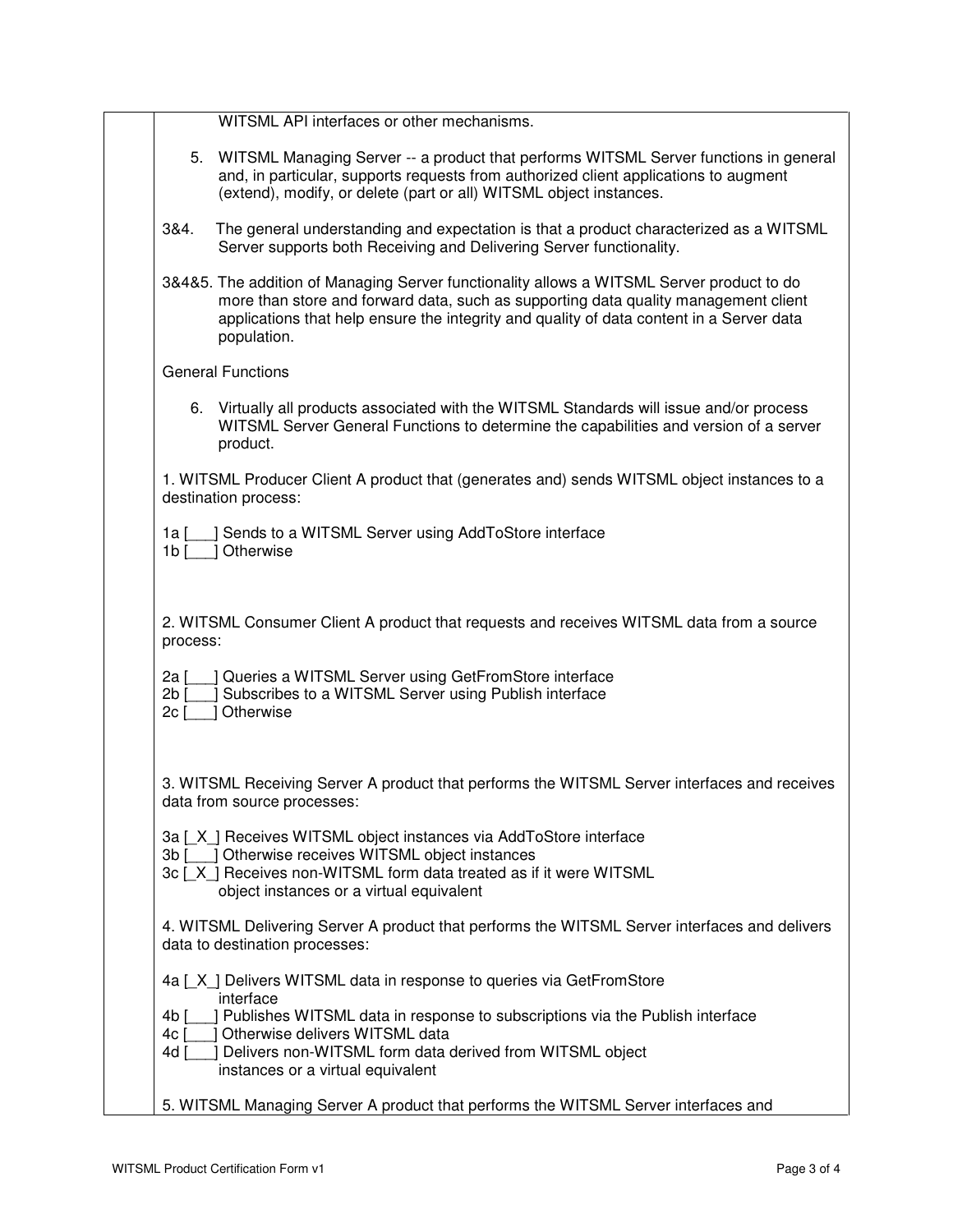|                        | WITSML API interfaces or other mechanisms.                                                                                                                                                                                                                                                  |
|------------------------|---------------------------------------------------------------------------------------------------------------------------------------------------------------------------------------------------------------------------------------------------------------------------------------------|
|                        | 5. WITSML Managing Server -- a product that performs WITSML Server functions in general<br>and, in particular, supports requests from authorized client applications to augment<br>(extend), modify, or delete (part or all) WITSML object instances.                                       |
| 3&4.                   | The general understanding and expectation is that a product characterized as a WITSML<br>Server supports both Receiving and Delivering Server functionality.                                                                                                                                |
|                        | 3&4&5. The addition of Managing Server functionality allows a WITSML Server product to do<br>more than store and forward data, such as supporting data quality management client<br>applications that help ensure the integrity and quality of data content in a Server data<br>population. |
|                        | <b>General Functions</b>                                                                                                                                                                                                                                                                    |
|                        | 6. Virtually all products associated with the WITSML Standards will issue and/or process<br>WITSML Server General Functions to determine the capabilities and version of a server<br>product.                                                                                               |
|                        | 1. WITSML Producer Client A product that (generates and) sends WITSML object instances to a<br>destination process:                                                                                                                                                                         |
| 1a I<br>1 <sub>b</sub> | Sends to a WITSML Server using AddToStore interface<br>Otherwise                                                                                                                                                                                                                            |
|                        | 2. WITSML Consumer Client A product that requests and receives WITSML data from a source<br>process:                                                                                                                                                                                        |
| 2a [<br>2b<br>$2c$ [   | Queries a WITSML Server using GetFromStore interface<br>Subscribes to a WITSML Server using Publish interface<br>Otherwise                                                                                                                                                                  |
|                        | 3. WITSML Receiving Server A product that performs the WITSML Server interfaces and receives<br>data from source processes:                                                                                                                                                                 |
|                        | 3a [X] Receives WITSML object instances via AddToStore interface<br>3b [ ] Otherwise receives WITSML object instances<br>3c [X] Receives non-WITSML form data treated as if it were WITSML<br>object instances or a virtual equivalent                                                      |
|                        | 4. WITSML Delivering Server A product that performs the WITSML Server interfaces and delivers<br>data to destination processes:                                                                                                                                                             |
|                        | 4a [X] Delivers WITSML data in response to queries via GetFromStore<br>interface                                                                                                                                                                                                            |
| 4b [<br>4c [           | ] Publishes WITSML data in response to subscriptions via the Publish interface<br>] Otherwise delivers WITSML data                                                                                                                                                                          |
| 4d [                   | Delivers non-WITSML form data derived from WITSML object<br>instances or a virtual equivalent                                                                                                                                                                                               |
|                        | 5. WITSML Managing Server A product that performs the WITSML Server interfaces and                                                                                                                                                                                                          |